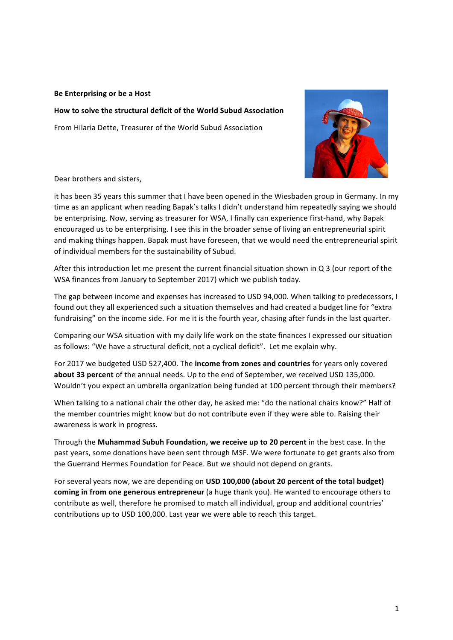## **Be Enterprising or be a Host**

How to solve the structural deficit of the World Subud Association From Hilaria Dette, Treasurer of the World Subud Association



Dear brothers and sisters,

it has been 35 years this summer that I have been opened in the Wiesbaden group in Germany. In my time as an applicant when reading Bapak's talks I didn't understand him repeatedly saying we should be enterprising. Now, serving as treasurer for WSA, I finally can experience first-hand, why Bapak encouraged us to be enterprising. I see this in the broader sense of living an entrepreneurial spirit and making things happen. Bapak must have foreseen, that we would need the entrepreneurial spirit of individual members for the sustainability of Subud.

After this introduction let me present the current financial situation shown in  $Q_3$  (our report of the WSA finances from January to September 2017) which we publish today.

The gap between income and expenses has increased to USD 94,000. When talking to predecessors, I found out they all experienced such a situation themselves and had created a budget line for "extra fundraising" on the income side. For me it is the fourth year, chasing after funds in the last quarter.

Comparing our WSA situation with my daily life work on the state finances I expressed our situation as follows: "We have a structural deficit, not a cyclical deficit". Let me explain why.

For 2017 we budgeted USD 527,400. The income from zones and countries for years only covered **about 33 percent** of the annual needs. Up to the end of September, we received USD 135,000. Wouldn't you expect an umbrella organization being funded at 100 percent through their members?

When talking to a national chair the other day, he asked me: "do the national chairs know?" Half of the member countries might know but do not contribute even if they were able to. Raising their awareness is work in progress.

Through the Muhammad Subuh Foundation, we receive up to 20 percent in the best case. In the past years, some donations have been sent through MSF. We were fortunate to get grants also from the Guerrand Hermes Foundation for Peace. But we should not depend on grants.

For several years now, we are depending on USD 100,000 (about 20 percent of the total budget) **coming in from one generous entrepreneur** (a huge thank you). He wanted to encourage others to contribute as well, therefore he promised to match all individual, group and additional countries' contributions up to USD 100,000. Last year we were able to reach this target.